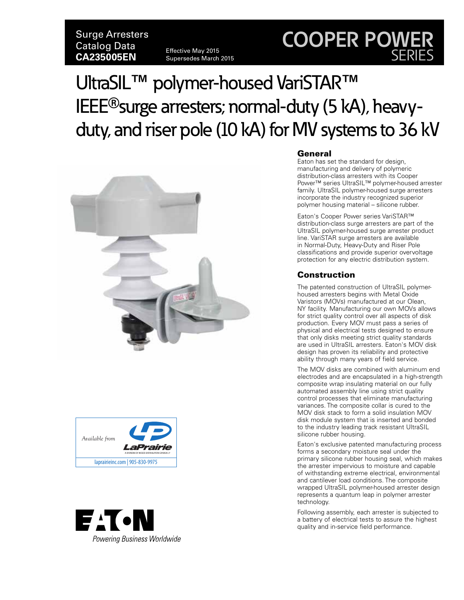Surge Arresters Catalog Data CatalOg Data<br>**CA235005EN** Effective May 2015

Supersedes March 2015

## **COOPER POWER** SERIES

# UltraSIL**™** polymer-housed VariSTAR**™** IEEE**®**surge arresters; normal-duty (5 kA), heavyduty, and riser pole (10 kA) for MV systems to 36 kV







#### General

Eaton has set the standard for design, manufacturing and delivery of polymeric distribution-class arresters with its Cooper Power™ series UltraSIL™ polymer-housed arrester family. UltraSIL polymer-housed surge arresters incorporate the industry recognized superior polymer housing material – silicone rubber.

Eaton's Cooper Power series VariSTAR™ distribution-class surge arresters are part of the UltraSIL polymer-housed surge arrester product line. VariSTAR surge arresters are available in Normal-Duty, Heavy-Duty and Riser Pole classifications and provide superior overvoltage protection for any electric distribution system.

#### Construction

The patented construction of UltraSIL polymerhoused arresters begins with Metal Oxide Varistors (MOVs) manufactured at our Olean, NY facility. Manufacturing our own MOVs allows for strict quality control over all aspects of disk production. Every MOV must pass a series of physical and electrical tests designed to ensure that only disks meeting strict quality standards are used in UltraSIL arresters. Eaton's MOV disk design has proven its reliability and protective ability through many years of field service.

The MOV disks are combined with aluminum end electrodes and are encapsulated in a high-strength composite wrap insulating material on our fully automated assembly line using strict quality control processes that eliminate manufacturing variances. The composite collar is cured to the MOV disk stack to form a solid insulation MOV disk module system that is inserted and bonded to the industry leading track resistant UltraSIL silicone rubber housing.

Eaton's exclusive patented manufacturing process forms a secondary moisture seal under the primary silicone rubber housing seal, which makes the arrester impervious to moisture and capable of withstanding extreme electrical, environmental and cantilever load conditions. The composite wrapped UltraSIL polymer-housed arrester design represents a quantum leap in polymer arrester technology.

Following assembly, each arrester is subjected to a battery of electrical tests to assure the highest quality and in-service field performance.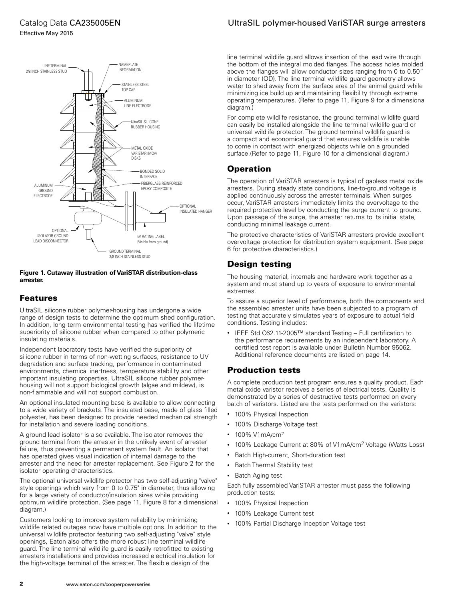### Catalog Data CA235005EN Effective May 2015



#### **Figure 1. Cutaway illustration of VariSTAR distribution-class arrester.**

## Features

UltraSIL silicone rubber polymer-housing has undergone a wide range of design tests to determine the optimum shed configuration. In addition, long term environmental testing has verified the lifetime superiority of silicone rubber when compared to other polymeric insulating materials.

Independent laboratory tests have verified the superiority of silicone rubber in terms of non-wetting surfaces, resistance to UV degradation and surface tracking, performance in contaminated environments, chemical inertness, temperature stability and other important insulating properties. UltraSIL silicone rubber polymerhousing will not support biological growth (algae and mildew), is non-flammable and will not support combustion.

An optional insulated mounting base is available to allow connecting to a wide variety of brackets. The insulated base, made of glass filled polyester, has been designed to provide needed mechanical strength for installation and severe loading conditions.

A ground lead isolator is also available. The isolator removes the ground terminal from the arrester in the unlikely event of arrester failure, thus preventing a permanent system fault. An isolator that has operated gives visual indication of internal damage to the arrester and the need for arrester replacement. See Figure 2 for the isolator operating characteristics.

The optional universal wildlife protector has two self-adjusting "valve" style openings which vary from 0 to 0.75" in diameter, thus allowing for a large variety of conductor/insulation sizes while providing optimum wildlife protection. (See page 11, Figure 8 for a dimensional diagram.)

Customers looking to improve system reliability by minimizing wildlife related outages now have multiple options. In addition to the universal wildlife protector featuring two self-adjusting "valve" style openings, Eaton also offers the more robust line terminal wildlife guard. The line terminal wildlife guard is easily retrofitted to existing arresters installations and provides increased electrical insulation for the high-voltage terminal of the arrester. The flexible design of the

## UltraSIL polymer-housed VariSTAR surge arresters

line terminal wildlife guard allows insertion of the lead wire through the bottom of the integral molded flanges. The access holes molded above the flanges will allow conductor sizes ranging from 0 to 0.50" in diameter (OD). The line terminal wildlife guard geometry allows water to shed away from the surface area of the animal guard while minimizing ice build up and maintaining flexibility through extreme operating temperatures. (Refer to page 11, Figure 9 for a dimensional diagram.)

For complete wildlife resistance, the ground terminal wildlife guard can easily be installed alongside the line terminal wildlife guard or universal wildlife protector. The ground terminal wildlife guard is a compact and economical guard that ensures wildlife is unable to come in contact with energized objects while on a grounded surface.(Refer to page 11, Figure 10 for a dimensional diagram.)

## **Operation**

The operation of VariSTAR arresters is typical of gapless metal oxide arresters. During steady state conditions, line-to-ground voltage is applied continuously across the arrester terminals. When surges occur, VariSTAR arresters immediately limits the overvoltage to the required protective level by conducting the surge current to ground. Upon passage of the surge, the arrester returns to its initial state, conducting minimal leakage current.

The protective characteristics of VariSTAR arresters provide excellent overvoltage protection for distribution system equipment. (See page 6 for protective characteristics.)

## Design testing

The housing material, internals and hardware work together as a system and must stand up to years of exposure to environmental extremes.

To assure a superior level of performance, both the components and the assembled arrester units have been subjected to a program of testing that accurately simulates years of exposure to actual field conditions. Testing includes:

• IEEE Std C62.11-2005™ standard Testing – Full certification to the performance requirements by an independent laboratory. A certified test report is available under Bulletin Number 95062. Additional reference documents are listed on page 14.

## Production tests

A complete production test program ensures a quality product. Each metal oxide varistor receives a series of electrical tests. Quality is demonstrated by a series of destructive tests performed on every batch of varistors. Listed are the tests performed on the varistors:

- 100% Physical Inspection
- 100% Discharge Voltage test
- 100% V1mA/cm<sup>2</sup>
- 100% Leakage Current at 80% of V1mA/cm<sup>2</sup> Voltage (Watts Loss)
- Batch High-current, Short-duration test
- Batch Thermal Stability test
- Batch Aging test

Each fully assembled VariSTAR arrester must pass the following production tests:

- 100% Physical Inspection
- 100% Leakage Current test
- 100% Partial Discharge Inception Voltage test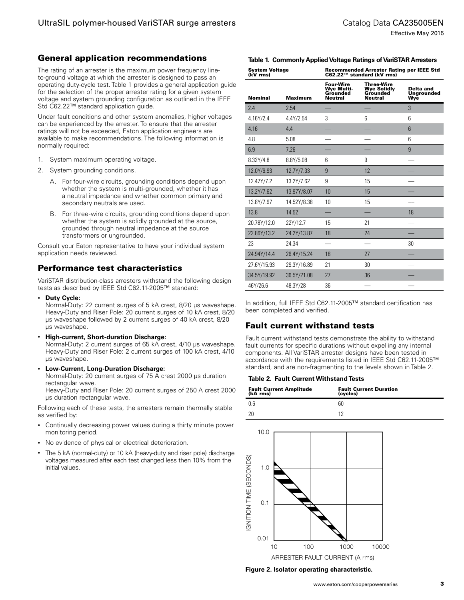#### General application recommendations

The rating of an arrester is the maximum power frequency lineto-ground voltage at which the arrester is designed to pass an operating duty-cycle test. Table 1 provides a general application guide for the selection of the proper arrester rating for a given system voltage and system grounding configuration as outlined in the IEEE Std C62.22™ standard application guide.

Under fault conditions and other system anomalies, higher voltages can be experienced by the arrester. To ensure that the arrester ratings will not be exceeded, Eaton application engineers are available to make recommendations. The following information is normally required:

- 1. System maximum operating voltage.
- 2. System grounding conditions.
	- A. For four-wire circuits, grounding conditions depend upon whether the system is multi-grounded, whether it has a neutral impedance and whether common primary and secondary neutrals are used.
	- B. For three-wire circuits, grounding conditions depend upon whether the system is solidly grounded at the source, grounded through neutral impedance at the source transformers or ungrounded.

Consult your Eaton representative to have your individual system application needs reviewed.

#### Performance test characteristics

VariSTAR distribution-class arresters withstand the following design tests as described by IEEE Std C62.11-2005™ standard:

• **Duty Cycle:**

Normal-Duty: 22 current surges of 5 kA crest, 8/20 µs waveshape. Heavy-Duty and Riser Pole: 20 current surges of 10 kA crest, 8/20 µs waveshape followed by 2 current surges of 40 kA crest, 8/20 µs waveshape.

• **High-current, Short-duration Discharge:**

Normal-Duty: 2 current surges of 65 kA crest, 4/10 µs waveshape. Heavy-Duty and Riser Pole: 2 current surges of 100 kA crest, 4/10 µs waveshape.

• **Low-Current, Long-Duration Discharge:**

Normal-Duty: 20 current surges of 75 A crest 2000 µs duration rectangular wave.

Heavy-Duty and Riser Pole: 20 current surges of 250 A crest 2000 µs duration rectangular wave.

Following each of these tests, the arresters remain thermally stable as verified by:

- Continually decreasing power values during a thirty minute power monitoring period.
- No evidence of physical or electrical deterioration.
- The 5 kA (normal-duty) or 10 kA (heavy-duty and riser pole) discharge voltages measured after each test changed less then 10% from the initial values.

| <b>System Voltage</b><br>(kV rms) |                |                                                                     | <b>Recommended Arrester Rating per IEEE Std</b><br>C62.22™ standard (kV rms) |                                       |
|-----------------------------------|----------------|---------------------------------------------------------------------|------------------------------------------------------------------------------|---------------------------------------|
| <b>Nominal</b>                    | <b>Maximum</b> | <b>Four-Wire</b><br><b>Wye Multi-</b><br>Grounded<br><b>Neutral</b> | <b>Three-Wire</b><br><b>Wye Solidly</b><br>Grounded<br><b>Neutral</b>        | Delta and<br><b>Ungrounded</b><br>Wye |
| 2.4                               | 2.54           |                                                                     |                                                                              | 3                                     |
| 4.16Y/2.4                         | 4.4Y/2.54      | 3                                                                   | 6                                                                            | 6                                     |
| 4.16                              | 4.4            |                                                                     |                                                                              | $6\overline{6}$                       |
| 4.8                               | 5.08           |                                                                     |                                                                              | 6                                     |
| 6.9                               | 7.26           |                                                                     |                                                                              | 9                                     |
| 8.32Y/4.8                         | 8.8Y/5.08      | 6                                                                   | 9                                                                            |                                       |
| 12.0Y/6.93                        | 12.7Y/7.33     | 9                                                                   | 12                                                                           |                                       |
| 12.47Y/7.2                        | 13.2Y/7.62     | 9                                                                   | 15                                                                           |                                       |
| 13.2Y/7.62                        | 13.97Y/8.07    | 10                                                                  | 15                                                                           |                                       |
| 13.8Y/7.97                        | 14.52Y/8.38    | 10                                                                  | 15                                                                           |                                       |
| 13.8                              | 14.52          |                                                                     |                                                                              | 18                                    |
| 20.78Y/12.0                       | 22Y/12.7       | 15                                                                  | 21                                                                           |                                       |
| 22.86Y/13.2                       | 24.2Y/13.87    | 18                                                                  | 24                                                                           |                                       |
| 23                                | 24.34          |                                                                     |                                                                              | 30                                    |
| 24.94Y/14.4                       | 26.4Y/15.24    | 18                                                                  | 27                                                                           |                                       |
| 27.6Y/15.93                       | 29.3Y/16.89    | 21                                                                  | 30                                                                           |                                       |
| 34.5Y/19.92                       | 36.5Y/21.08    | 27                                                                  | 36                                                                           |                                       |
| 46Y/26.6                          | 48.3Y/28       | 36                                                                  |                                                                              |                                       |

**Table 1. Commonly Applied Voltage Ratings of VariSTAR Arresters**

In addition, full IEEE Std C62.11-2005™ standard certification has been completed and verified.

## Fault current withstand tests

Fault current withstand tests demonstrate the ability to withstand fault currents for specific durations without expelling any internal components. All VariSTAR arrester designs have been tested in accordance with the requirements listed in IEEE Std C62.11-2005™ standard, and are non-fragmenting to the levels shown in Table 2.

#### **Table 2. Fault Current Withstand Tests**

| <b>Fault Current Amplitude</b><br>(kA rms) | <b>Fault Current Duration</b><br>(cycles) |
|--------------------------------------------|-------------------------------------------|
|                                            | 60                                        |
| 7ſ                                         |                                           |



**Figure 2. Isolator operating characteristic.**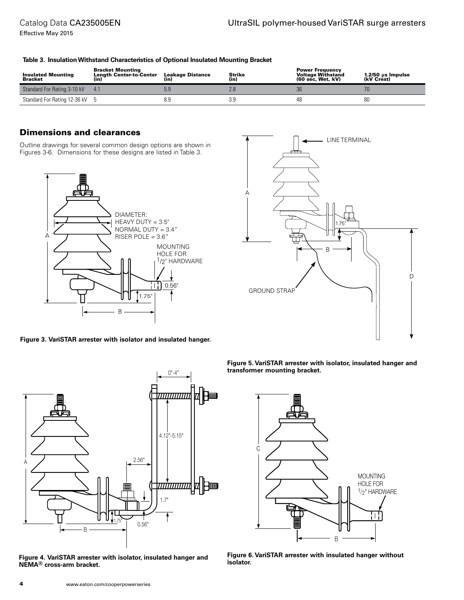| Table 3. Insulation Withstand Characteristics of Optional Insulated Mounting Bracket |  |  |
|--------------------------------------------------------------------------------------|--|--|
|                                                                                      |  |  |

| <b>Insulated Mounting</b><br><b>Bracket</b> | <b>Bracket Mounting</b><br><b>Length Center-to-Center</b><br>(in) | Leakage Distance<br>(in) | <b>Strike</b><br>(in) | <b>Power Frequency</b><br><b>Voltage Withstand</b><br>(60 sec. Wet. kV) | 1.2/50 µs Impulse<br>(kV Crest) |  |
|---------------------------------------------|-------------------------------------------------------------------|--------------------------|-----------------------|-------------------------------------------------------------------------|---------------------------------|--|
| Standard For Rating 3-10 kV                 |                                                                   | 5.9                      |                       |                                                                         |                                 |  |
| Standard For Rating 12-36 kV 5              |                                                                   | 8.9                      |                       | 48                                                                      | 80                              |  |

## Dimensions and clearances

Outline drawings for several common design options are shown in Figures 3-6. Dimensions for these designs are listed in Table 3.



**Figure 3. VariSTAR arrester with isolator and insulated hanger.**



**Figure 4. VariSTAR arrester with isolator, insulated hanger and NEMA® cross-arm bracket.**



**Figure 5. VariSTAR arrester with isolator, insulated hanger and transformer mounting bracket.**



**Figure 6. VariSTAR arrester with insulated hanger without isolator.**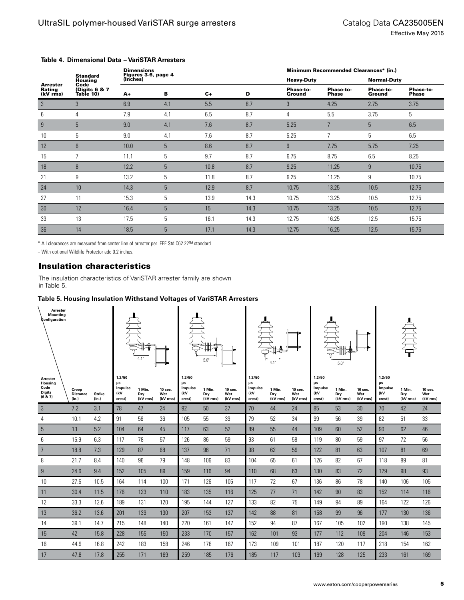|                                       |                                    | <b>Dimensions</b> |                     |       |      | Minimum Recommended Clearances* (in.) |                           |                     |                           |  |  |  |
|---------------------------------------|------------------------------------|-------------------|---------------------|-------|------|---------------------------------------|---------------------------|---------------------|---------------------------|--|--|--|
|                                       | <b>Standard</b><br>Housina         | (Inches)          | Figures 3-6, page 4 |       |      | <b>Heavy-Duty</b>                     |                           | <b>Normal-Duty</b>  |                           |  |  |  |
| <b>Arrester</b><br>Rating<br>(kV rms) | Code<br>(Digits 6 & 7<br>Table 10) | $A+$              | в                   | $C +$ | D    | Phase-to-<br>Ground                   | Phase-to-<br><b>Phase</b> | Phase-to-<br>Ground | Phase-to-<br><b>Phase</b> |  |  |  |
| 3                                     | 3                                  | 6.9               | 4.1                 | 5.5   | 8.7  | 3                                     | 4.25                      | 2.75                | 3.75                      |  |  |  |
| 6                                     | 4                                  | 7.9               | 4.1                 | 6.5   | 8.7  | 4                                     | 5.5                       | 3.75                | 5                         |  |  |  |
| 9                                     | 5                                  | 9.0               | 4.1                 | 7.6   | 8.7  | 5.25                                  | 7                         | 5                   | 6.5                       |  |  |  |
| 10                                    | 5                                  | 9.0               | 4.1                 | 7.6   | 8.7  | 5.25                                  | ∍                         | 5                   | 6.5                       |  |  |  |
| 12                                    | $6\overline{6}$                    | 10.0              | 5                   | 8.6   | 8.7  | 6                                     | 7.75                      | 5.75                | 7.25                      |  |  |  |
| 15                                    | 7                                  | 11.1              | 5                   | 9.7   | 8.7  | 6.75                                  | 8.75                      | 6.5                 | 8.25                      |  |  |  |
| 18                                    | 8                                  | 12.2              | 5                   | 10.8  | 8.7  | 9.25                                  | 11.25                     | 9                   | 10.75                     |  |  |  |
| 21                                    | 9                                  | 13.2              | 5                   | 11.8  | 8.7  | 9.25                                  | 11.25                     | 9                   | 10.75                     |  |  |  |
| 24                                    | 10                                 | 14.3              | 5                   | 12.9  | 8.7  | 10.75                                 | 13.25                     | 10.5                | 12.75                     |  |  |  |
| 27                                    | 11                                 | 15.3              | 5                   | 13.9  | 14.3 | 10.75                                 | 13.25                     | 10.5                | 12.75                     |  |  |  |
| 30                                    | 12                                 | 16.4              | 5                   | 15    | 14.3 | 10.75                                 | 13.25                     | 10.5                | 12.75                     |  |  |  |
| 33                                    | 13                                 | 17.5              | 5                   | 16.1  | 14.3 | 12.75                                 | 16.25                     | 12.5                | 15.75                     |  |  |  |
| 36                                    | 14                                 | 18.5              | 5                   | 17.1  | 14.3 | 12.75                                 | 16.25                     | 12.5                | 15.75                     |  |  |  |

#### **Table 4. Dimensional Data – VariSTAR Arresters**

\* All clearances are measured from center line of arrester per IEEE Std C62.22™ standard.

+ With optional Wildlife Protector add 0.2 inches.

#### Insulation characteristics

The insulation characteristics of VariSTAR arrester family are shown in Table 5.

#### **Table 5. Housing Insulation Withstand Voltages of VariSTAR Arresters**

| Arrester<br><b>Mounting</b><br>Configuration            |                                   |                        |                                          |                           |                            | 5.0"                                     |                           |                            |                                          |                           | 5.0"                       |                                          |                           |                            |                                          |                           |                            |
|---------------------------------------------------------|-----------------------------------|------------------------|------------------------------------------|---------------------------|----------------------------|------------------------------------------|---------------------------|----------------------------|------------------------------------------|---------------------------|----------------------------|------------------------------------------|---------------------------|----------------------------|------------------------------------------|---------------------------|----------------------------|
| Arrester<br>Housing<br>Code<br><b>Digits</b><br>(6 & 7) | Creep<br><b>Distance</b><br>(in.) | <b>Strike</b><br>(in.) | 1.2/50<br>μs<br>Impulse<br>(kV<br>crest) | 1 Min.<br>Dry<br>(kV rms) | 10 sec.<br>Wet<br>(kV rms) | 1.2/50<br>μs<br>Impulse<br>(kV<br>crest) | 1 Min.<br>Dry<br>(kV rms) | 10 sec.<br>Wet<br>(kV rms) | 1.2/50<br>μs<br>Impulse<br>(kV<br>crest) | 1 Min.<br>Dry<br>(kV rms) | 10 sec.<br>Wet<br>(kV rms) | 1.2/50<br>μs<br>Impulse<br>(kV<br>crest) | 1 Min.<br>Dry<br>(kV rms) | 10 sec.<br>Wet<br>(kV rms) | 1.2/50<br>μs<br>Impulse<br>(kV<br>crest) | 1 Min.<br>Dry<br>(kV rms) | 10 sec.<br>Wet<br>(kV rms) |
| $\mathbf{3}$                                            | 7.2                               | 3.1                    | 78                                       | 47                        | 24                         | 92                                       | 50                        | 37                         | 70                                       | 44                        | 24                         | 85                                       | 53                        | 30                         | 70                                       | 42                        | 24                         |
| 4                                                       | 10.1                              | 4.2                    | 91                                       | 56                        | 36                         | 105                                      | 55                        | 39                         | 79                                       | 52                        | 34                         | 99                                       | 56                        | 39                         | 82                                       | 51                        | 33                         |
| 5                                                       | 13                                | 5.2                    | 104                                      | 64                        | 45                         | 117                                      | 63                        | 52                         | 89                                       | 55                        | 44                         | 109                                      | 60                        | 52                         | 90                                       | 62                        | 46                         |
| 6                                                       | 15.9                              | 6.3                    | 117                                      | 78                        | 57                         | 126                                      | 86                        | 59                         | 93                                       | 61                        | 58                         | 119                                      | 80                        | 59                         | 97                                       | 72                        | 56                         |
| $\overline{7}$                                          | 18.8                              | 7.3                    | 129                                      | 87                        | 68                         | 137                                      | 96                        | 71                         | 98                                       | 62                        | 59                         | 122                                      | 81                        | 63                         | 107                                      | 81                        | 69                         |
| 8                                                       | 21.7                              | 8.4                    | 140                                      | 96                        | 79                         | 148                                      | 106                       | 83                         | 104                                      | 65                        | 61                         | 126                                      | 82                        | 67                         | 118                                      | 89                        | 81                         |
| 9                                                       | 24.6                              | 9.4                    | 152                                      | 105                       | 89                         | 159                                      | 116                       | 94                         | 110                                      | 68                        | 63                         | 130                                      | 83                        | 72                         | 129                                      | 98                        | 93                         |
| 10                                                      | 27.5                              | 10.5                   | 164                                      | 114                       | 100                        | 171                                      | 126                       | 105                        | 117                                      | 72                        | 67                         | 136                                      | 86                        | 78                         | 140                                      | 106                       | 105                        |
| 11                                                      | 30.4                              | 11.5                   | 176                                      | 123                       | 110                        | 183                                      | 135                       | 116                        | 125                                      | 77                        | 71                         | 142                                      | 90                        | 83                         | 152                                      | 114                       | 116                        |
| 12                                                      | 33.3                              | 12.6                   | 189                                      | 131                       | 120                        | 195                                      | 144                       | 127                        | 133                                      | 82                        | 75                         | 149                                      | 94                        | 89                         | 164                                      | 122                       | 126                        |
| 13                                                      | 36.2                              | 13.6                   | 201                                      | 139                       | 130                        | 207                                      | 153                       | 137                        | 142                                      | 88                        | 81                         | 158                                      | 99                        | 96                         | 177                                      | 130                       | 136                        |
| 14                                                      | 39.1                              | 14.7                   | 215                                      | 148                       | 140                        | 220                                      | 161                       | 147                        | 152                                      | 94                        | 87                         | 167                                      | 105                       | 102                        | 190                                      | 138                       | 145                        |
| 15                                                      | 42                                | 15.8                   | 228                                      | 155                       | 150                        | 233                                      | 170                       | 157                        | 162                                      | 101                       | 93                         | 177                                      | 112                       | 109                        | 204                                      | 146                       | 153                        |
| 16                                                      | 44.9                              | 16.8                   | 242                                      | 183                       | 158                        | 246                                      | 178                       | 167                        | 173                                      | 109                       | 101                        | 187                                      | 120                       | 117                        | 218                                      | 154                       | 162                        |
| 17                                                      | 47.8                              | 17.8                   | 255                                      | 171                       | 169                        | 259                                      | 185                       | 176                        | 185                                      | 117                       | 109                        | 199                                      | 128                       | 125                        | 233                                      | 161                       | 169                        |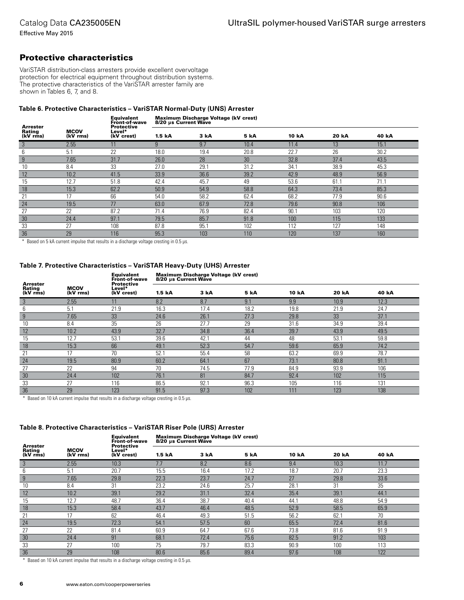Effective May 2015

#### Protective characteristics

VariSTAR distribution-class arresters provide excellent overvoltage protection for electrical equipment throughout distribution systems. The protective characteristics of the VariSTAR arrester family are shown in Tables 6, 7, and 8.

#### **Table 6. Protective Characteristics – VariSTAR Normal-Duty (UNS) Arrester**

|                                       |                         | <b>Equivalent</b><br>Front-of-wave        |        | <b>Maximum Discharge Voltage (kV crest)</b><br>8/20 µs Current Wave |      |       |       |       |  |  |  |  |
|---------------------------------------|-------------------------|-------------------------------------------|--------|---------------------------------------------------------------------|------|-------|-------|-------|--|--|--|--|
| <b>Arrester</b><br>Rating<br>(kV rms) | <b>MCOV</b><br>(kV rms) | <b>Protective</b><br>Level*<br>(kV crest) | 1.5 kA | 3 kA                                                                | 5 kA | 10 kA | 20 kA | 40 kA |  |  |  |  |
| 3                                     | 2.55                    | 11                                        | 9      | 9.7                                                                 | 10.4 | 11.4  | 13    | 15.1  |  |  |  |  |
| 6                                     | 5.1                     | 22                                        | 18.0   | 19.4                                                                | 20.8 | 22.7  | 26    | 30.2  |  |  |  |  |
| 9                                     | 7.65                    | 31.7                                      | 26.0   | 28                                                                  | 30   | 32.8  | 37.4  | 43.5  |  |  |  |  |
| 10                                    | 8.4                     | 33                                        | 27.0   | 29.1                                                                | 31.2 | 34.1  | 38.9  | 45.3  |  |  |  |  |
| 12                                    | 10.2                    | 41.5                                      | 33.9   | 36.6                                                                | 39.2 | 42.9  | 48.9  | 56.9  |  |  |  |  |
| 15                                    | 12.7                    | 51.8                                      | 42.4   | 45.7                                                                | 49   | 53.6  | 61.1  | 71.1  |  |  |  |  |
| 18                                    | 15.3                    | 62.2                                      | 50.9   | 54.9                                                                | 58.8 | 64.3  | 73.4  | 85.3  |  |  |  |  |
| 21                                    | 17                      | 66                                        | 54.0   | 58.2                                                                | 62.4 | 68.2  | 77.9  | 90.6  |  |  |  |  |
| 24                                    | 19.5                    | 77                                        | 63.0   | 67.9                                                                | 72.8 | 79.6  | 90.8  | 106   |  |  |  |  |
| 27                                    | 22                      | 87.2                                      | 71.4   | 76.9                                                                | 82.4 | 90.1  | 103   | 120   |  |  |  |  |
| 30                                    | 24.4                    | 97.1                                      | 79.5   | 85.7                                                                | 91.8 | 100   | 115   | 133   |  |  |  |  |
| 33                                    | 27                      | 108                                       | 87.8   | 95.1                                                                | 102  | 112   | 127   | 148   |  |  |  |  |
| 36                                    | 29                      | 116                                       | 95.3   | 103                                                                 | 110  | 120   | 137   | 160   |  |  |  |  |

\* Based on 5 kA current impulse that results in a discharge voltage cresting in 0.5 µs.

#### **Table 7. Protective Characteristics – VariSTAR Heavy-Duty (UHS) Arrester**

|                                |                         | <b>Equivalent</b><br><b>Front-of-wave</b><br><b>Protective</b> |        | Maximum Discharge Voltage (kV crest)<br>8/20 µs Current Wave |             |       |       |       |  |  |  |  |
|--------------------------------|-------------------------|----------------------------------------------------------------|--------|--------------------------------------------------------------|-------------|-------|-------|-------|--|--|--|--|
| Arrester<br>Rating<br>(kV rms) | <b>MCOV</b><br>(kV rms) | Level*<br>(kV crest)                                           | 1.5 kA | 3 kA                                                         | <b>5 kA</b> | 10 kA | 20 kA | 40 kA |  |  |  |  |
| $\mathbf{3}$                   | 2.55                    | 11                                                             | 8.2    | 8.7                                                          | 9.1         | 9.9   | 10.9  | 12.3  |  |  |  |  |
| 6                              | 5.1                     | 21.9                                                           | 16.3   | 17.4                                                         | 18.2        | 19.8  | 21.9  | 24.7  |  |  |  |  |
| 9                              | 7.65                    | 33                                                             | 24.6   | 26.1                                                         | 27.3        | 29.8  | 33    | 37.1  |  |  |  |  |
| 10                             | 8.4                     | 35                                                             | 26     | 27.7                                                         | 29          | 31.6  | 34.9  | 39.4  |  |  |  |  |
| 12                             | 10.2                    | 43.9                                                           | 32.7   | 34.8                                                         | 36.4        | 39.7  | 43.9  | 49.5  |  |  |  |  |
| 15                             | 12.7                    | 53.1                                                           | 39.6   | 42.1                                                         | 44          | 48    | 53.1  | 59.8  |  |  |  |  |
| 18                             | 15.3                    | 66                                                             | 49.1   | 52.3                                                         | 54.7        | 59.6  | 65.9  | 74.2  |  |  |  |  |
| 21                             | 17                      | 70                                                             | 52.1   | 55.4                                                         | 58          | 63.2  | 69.9  | 78.7  |  |  |  |  |
| 24                             | 19.5                    | 80.9                                                           | 60.2   | 64.1                                                         | 67          | 73.1  | 80.8  | 91.1  |  |  |  |  |
| 27                             | 22                      | 94                                                             | 70     | 74.5                                                         | 77.9        | 84.9  | 93.9  | 106   |  |  |  |  |
| 30                             | 24.4                    | 102                                                            | 76.1   | 81                                                           | 84.7        | 92.4  | 102   | 115   |  |  |  |  |
| 33                             | 27                      | 116                                                            | 86.5   | 92.1                                                         | 96.3        | 105   | 116   | 131   |  |  |  |  |
| 36                             | 29                      | 123                                                            | 91.5   | 97.3                                                         | 102         | 111   | 123   | 138   |  |  |  |  |

\* Based on 10 kA current impulse that results in a discharge voltage cresting in 0.5 µs.

#### **Table 8. Protective Characteristics – VariSTAR Riser Pole (URS) Arrester**

|                                |                         | <b>Equivalent</b><br><b>Front-of-wave</b> |        | Maximum Discharge Voltage (kV crest)<br>8/20 µs Current Wave |             |              |       |       |  |  |  |  |  |
|--------------------------------|-------------------------|-------------------------------------------|--------|--------------------------------------------------------------|-------------|--------------|-------|-------|--|--|--|--|--|
| Arrester<br>Rating<br>(kV rms) | <b>MCOV</b><br>(kV rms) | <b>Protective</b><br>Level*<br>(kV crest) | 1.5 kA | 3 kA                                                         | <b>5 kA</b> | <b>10 kA</b> | 20 kA | 40 kA |  |  |  |  |  |
| 3                              | 2.55                    | 10.3                                      | 7.7    | 8.2                                                          | 8.6         | 9.4          | 10.3  | 11.7  |  |  |  |  |  |
| 6                              | 5.1                     | 20.7                                      | 15.5   | 16.4                                                         | 17.2        | 18.7         | 20.7  | 23.3  |  |  |  |  |  |
| 9                              | 7.65                    | 29.8                                      | 22.3   | 23.7                                                         | 24.7        | 27           | 29.8  | 33.6  |  |  |  |  |  |
| 10                             | 8.4                     | 31                                        | 23.2   | 24.6                                                         | 25.7        | 28.1         | 31    | 35    |  |  |  |  |  |
| 12                             | 10.2                    | 39.1                                      | 29.2   | 31.1                                                         | 32.4        | 35.4         | 39.1  | 44.1  |  |  |  |  |  |
| 15                             | 12.7                    | 48.7                                      | 36.4   | 38.7                                                         | 40.4        | 44.1         | 48.8  | 54.9  |  |  |  |  |  |
| 18                             | 15.3                    | 58.4                                      | 43.7   | 46.4                                                         | 48.5        | 52.9         | 58.5  | 65.9  |  |  |  |  |  |
| 21                             | 17                      | 62                                        | 46.4   | 49.3                                                         | 51.5        | 56.2         | 62.1  | 70    |  |  |  |  |  |
| 24                             | 19.5                    | 72.3                                      | 54.1   | 57.5                                                         | 60          | 65.5         | 72.4  | 81.6  |  |  |  |  |  |
| 27                             | 22                      | 81.4                                      | 60.9   | 64.7                                                         | 67.6        | 73.8         | 81.6  | 91.9  |  |  |  |  |  |
| 30                             | 24.4                    | 91                                        | 68.1   | 72.4                                                         | 75.6        | 82.5         | 91.2  | 103   |  |  |  |  |  |
| 33                             | 27                      | 100                                       | 75     | 79.7                                                         | 83.3        | 90.9         | 100   | 113   |  |  |  |  |  |
| 36                             | 29                      | 108                                       | 80.6   | 85.6                                                         | 89.4        | 97.6         | 108   | 122   |  |  |  |  |  |

\* Based on 10 kA current impulse that results in a discharge voltage cresting in 0.5 µs.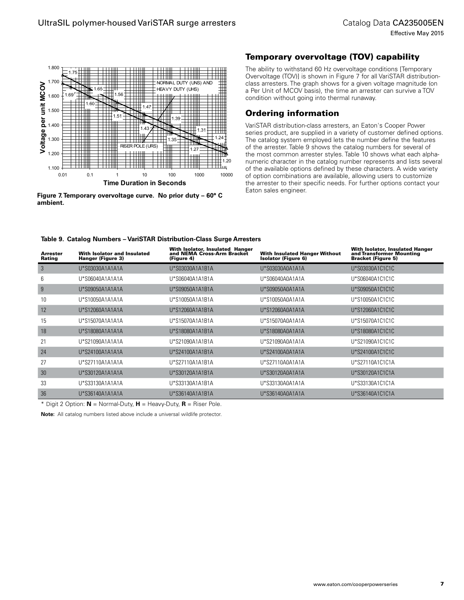

**Figure 7. Temporary overvoltage curve. No prior duty – 60° C ambient.**

## Temporary overvoltage (TOV) capability

The ability to withstand 60 Hz overvoltage conditions [Temporary Overvoltage (TOV)] is shown in Figure 7 for all VariSTAR distributionclass arresters. The graph shows for a given voltage magnitude (on a Per Unit of MCOV basis), the time an arrester can survive a TOV condition without going into thermal runaway.

## Ordering information

VariSTAR distribution-class arresters, an Eaton's Cooper Power series product, are supplied in a variety of customer defined options. The catalog system employed lets the number define the features of the arrester. Table 9 shows the catalog numbers for several of the most common arrester styles. Table 10 shows what each alphanumeric character in the catalog number represents and lists several of the available options defined by these characters. A wide variety of option combinations are available, allowing users to customize the arrester to their specific needs. For further options contact your Eaton sales engineer.

#### **Table 9. Catalog Numbers – VariSTAR Distribution-Class Surge Arresters**

| <b>Arrester</b><br>Rating | With Isolator and Insulated<br>Hanger (Figure 3) | With Isolator, Insulated Hanger<br>and NEMA Cross-Arm Bracket<br>(Figure 4) | With Insulated Hanger Without<br>Isolator (Figure 6) | With Isolator, Insulated Hanger<br>and Transformer Mounting<br><b>Bracket (Figure 5)</b> |
|---------------------------|--------------------------------------------------|-----------------------------------------------------------------------------|------------------------------------------------------|------------------------------------------------------------------------------------------|
| 3                         | U*S03030A1A1A1A                                  | U*S03030A1A1B1A                                                             | U*S03030A0A1A1A                                      | U*S03030A1C1C1C                                                                          |
| 6                         | U*S06040A1A1A1A                                  | U*S06040A1A1B1A                                                             | U*S06040A0A1A1A                                      | U*S06040A1C1C1C                                                                          |
| 9                         | U*S09050A1A1A1A                                  | U*S09050A1A1B1A                                                             | U*S09050A0A1A1A                                      | U*S09050A1C1C1C                                                                          |
| 10                        | U*S10050A1A1A1A                                  | U*S10050A1A1B1A                                                             | U*S10050A0A1A1A                                      | U*S10050A1C1C1C                                                                          |
| 12                        | U*S12060A1A1A1A                                  | U*S12060A1A1B1A                                                             | U*S12060A0A1A1A                                      | U*S12060A1C1C1C                                                                          |
| 15                        | U*S15070A1A1A1A                                  | U*S15070A1A1B1A                                                             | U*S15070A0A1A1A                                      | U*S15070A1C1C1C                                                                          |
| 18                        | U*S18080A1A1A1A                                  | U*S18080A1A1B1A                                                             | U*S18080A0A1A1A                                      | U*S18080A1C1C1C                                                                          |
| 21                        | U*S21090A1A1A1A                                  | U*S21090A1A1B1A                                                             | U*S21090A0A1A1A                                      | U*S21090A1C1C1C                                                                          |
| 24                        | U*S24100A1A1A1A                                  | U*S24100A1A1B1A                                                             | U*S24100A0A1A1A                                      | U*S24100A1C1C1C                                                                          |
| 27                        | U*S27110A1A1A1A                                  | U*S27110A1A1B1A                                                             | U*S27110A0A1A1A                                      | U*S27110A1C1C1A                                                                          |
| 30                        | U*S30120A1A1A1A                                  | U*S30120A1A1B1A                                                             | U*S30120A0A1A1A                                      | U*S30120A1C1C1A                                                                          |
| 33                        | U*S33130A1A1A1A                                  | U*S33130A1A1B1A                                                             | U*S33130A0A1A1A                                      | U*S33130A1C1C1A                                                                          |
| 36                        | U*S36140A1A1A1A                                  | U*S36140A1A1B1A                                                             | U*S36140A0A1A1A                                      | U*S36140A1C1C1A                                                                          |

\* Digit 2 Option: **N** = Normal-Duty, **H** = Heavy-Duty, **R** = Riser Pole.

Note: All catalog numbers listed above include a universal wildlife protector.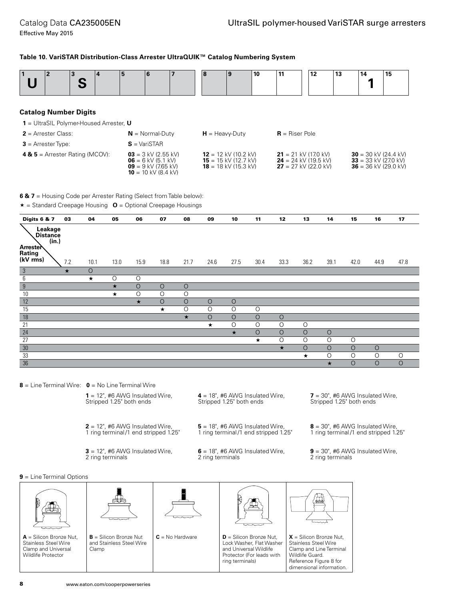#### **Table 10. VariSTAR Distribution-Class Arrester UltraQUIK™ Catalog Numbering System**

|                                            |                                                  | 5 | 6                                                                                                              | 8 | 9                                                                                         | 10 | 11                                                                                        | 12 | 13 | 14                                                                         | 15 |
|--------------------------------------------|--------------------------------------------------|---|----------------------------------------------------------------------------------------------------------------|---|-------------------------------------------------------------------------------------------|----|-------------------------------------------------------------------------------------------|----|----|----------------------------------------------------------------------------|----|
| <b>Catalog Number Digits</b>               |                                                  |   |                                                                                                                |   |                                                                                           |    |                                                                                           |    |    |                                                                            |    |
|                                            | <b>1</b> = UltraSIL Polymer-Housed Arrester, $U$ |   |                                                                                                                |   |                                                                                           |    |                                                                                           |    |    |                                                                            |    |
| $2$ = Arrester Class:                      |                                                  |   | $N = Normal-Duty$                                                                                              |   | $H =$ Heavy-Duty                                                                          |    | $R =$ Riser Pole                                                                          |    |    |                                                                            |    |
| $3$ = Arrester Type:                       |                                                  |   | $S = \text{VarISTAR}$                                                                                          |   |                                                                                           |    |                                                                                           |    |    |                                                                            |    |
| <b>4 &amp; 5</b> = Arrester Rating (MCOV): |                                                  |   | $03 = 3$ kV (2.55 kV)<br>$06 = 6$ kV (5.1 kV)<br>$09 = 9$ kV (7.65 kV)<br><b>10</b> = 10 kV $(8.4 \text{ kV})$ |   | <b>12</b> = 12 kV (10.2 kV)<br><b>15</b> = 15 kV (12.7 kV)<br><b>18</b> = 18 kV (15.3 kV) |    | <b>21</b> = 21 kV (17.0 kV)<br><b>24</b> = 24 kV (19.5 kV)<br><b>27</b> = 27 kV (22.0 kV) |    |    | $30 = 30$ kV (24.4 kV)<br>$33 = 33$ kV (27.0 kV)<br>$36 = 36$ kV (29.0 kV) |    |

**6 & 7** = Housing Code per Arrester Rating (Select from Table below):

**★** = Standard Creepage Housing **O** = Optional Creepage Housings

| <b>Digits 6 &amp; 7</b><br>03                                         | 04      | 05      | 06      | 07      | 08      | 09      | 10      | 11      | 12      | 13      | 14      | 15      | 16      | 17      |
|-----------------------------------------------------------------------|---------|---------|---------|---------|---------|---------|---------|---------|---------|---------|---------|---------|---------|---------|
| Leakage<br>Distance<br>(in.)<br>Arrester<br>Rating<br>(kV rms)<br>7.2 | 10.1    | 13.0    | 15.9    | 18.8    | 21.7    | 24.6    | 27.5    | 30.4    | 33.3    | 36.2    | 39.1    | 42.0    | 44.9    | 47.8    |
| 3<br>$\star$                                                          | $\circ$ |         |         |         |         |         |         |         |         |         |         |         |         |         |
| 6                                                                     | $\star$ | $\circ$ | O       |         |         |         |         |         |         |         |         |         |         |         |
| $\boldsymbol{9}$                                                      |         | $\star$ | $\circ$ | $\circ$ | $\circ$ |         |         |         |         |         |         |         |         |         |
| 10                                                                    |         | $\star$ | $\circ$ | O       | O       |         |         |         |         |         |         |         |         |         |
| 12                                                                    |         |         | $\star$ | $\circ$ | O       | $\circ$ | $\circ$ |         |         |         |         |         |         |         |
| 15                                                                    |         |         |         | $\star$ | O       | $\circ$ | $\circ$ | $\circ$ |         |         |         |         |         |         |
| 18                                                                    |         |         |         |         | $\star$ | $\circ$ | $\circ$ | $\circ$ | $\circ$ |         |         |         |         |         |
| 21                                                                    |         |         |         |         |         | $\star$ | O       | $\circ$ | $\circ$ | $\circ$ |         |         |         |         |
| $\overline{24}$                                                       |         |         |         |         |         |         | $\star$ | $\circ$ | $\circ$ | $\circ$ | $\circ$ |         |         |         |
| 27                                                                    |         |         |         |         |         |         |         | $\star$ | O       | $\circ$ | $\circ$ | $\circ$ |         |         |
| 30                                                                    |         |         |         |         |         |         |         |         | $\star$ | $\circ$ | $\circ$ | $\circ$ | $\circ$ |         |
| 33                                                                    |         |         |         |         |         |         |         |         |         | $\star$ | $\circ$ | $\circ$ | $\circ$ | O       |
| 36                                                                    |         |         |         |         |         |         |         |         |         |         | $\star$ | $\circ$ | $\circ$ | $\circ$ |

**8** = Line Terminal Wire: **0** = No Line Terminal Wire

**1** = 12", #6 AWG Insulated Wire, Stripped 1.25" both ends

 $2 = 12$ ", #6 AWG Insulated Wire, 1 ring terminal /1 end stripped 1.25"

 $3 = 12$ ", #6 AWG Insulated Wire,

2 ring terminals

**4** = 18", #6 AWG Insulated Wire, Stripped 1.25" both ends

 $5 = 18$ ", #6 AWG Insulated Wire, 1 ring terminal /1 end stripped 1.25"

**6** = 18", #6 AWG Insulated Wire, 2 ring terminals

**7** = 30", #6 AWG Insulated Wire, Stripped 1.25" both ends

**8** = 30", #6 AWG Insulated Wire, 1 ring terminal /1 end stripped 1.25"

**9** = 30", #6 AWG Insulated Wire, 2 ring terminals

#### **9** = Line Terminal Options



**A** = Silicon Bronze Nut, Stainless Steel Wire Clamp and Universal Wildlife Protector



**B** = Silicon Bronze Nut and Stainless Steel Wire Clamp



**C** = No Hardware **D** = Silicon Bronze Nut,<br>
Lock Washer, Flat Washer and Universal Wildlife Protector (For leads with ring terminals)



**X** = Silicon Bronze Nut, Stainless Steel Wire Clamp and Line Terminal Wildlife Guard. Reference Figure 8 for dimensional information.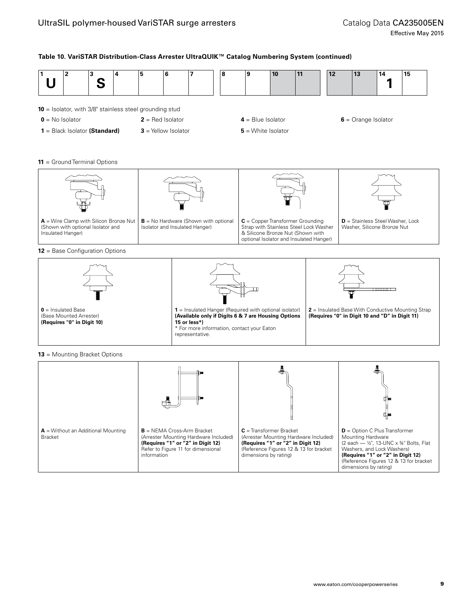Effective May 2015

#### **Table 10. VariSTAR Distribution-Class Arrester UltraQUIK™ Catalog Numbering System (continued)**



**A** = Without an Additional Mounting Bracket **B** = NEMA Cross-Arm Bracket (Arrester Mounting Hardware Included) **(Requires "1" or "2" in Digit 12)**  Refer to Figure 11 for dimensional information

**C** = Transformer Bracket (Arrester Mounting Hardware Included) **(Requires "1" or "2" in Digit 12)** (Reference Figures 12 & 13 for bracket dimensions by rating)

**D** = Option C Plus Transformer Mounting Hardware (2 each — 1/2", 13-UNC x 3/4" Bolts, Flat Washers, and Lock Washers) **(Requires "1" or "2" in Digit 12)** (Reference Figures 12 & 13 for bracket dimensions by rating)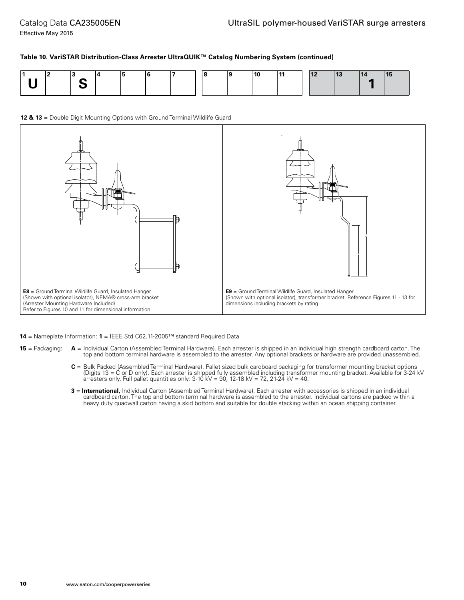## **Table 10. VariSTAR Distribution-Class Arrester UltraQUIK™ Catalog Numbering System (continued)**

|  |  |  |  |  | 10<br>$\sim$ |  | ш |  |  |
|--|--|--|--|--|--------------|--|---|--|--|
|  |  |  |  |  |              |  |   |  |  |



**12 & 13** = Double Digit Mounting Options with Ground Terminal Wildlife Guard

**14** = Nameplate Information: **1** = IEEE Std C62.11-2005™ standard Required Data

- **15** = Packaging: **A** = Individual Carton (Assembled Terminal Hardware). Each arrester is shipped in an individual high strength cardboard carton. The top and bottom terminal hardware is assembled to the arrester. Any optional brackets or hardware are provided unassembled.
	- $C$  = Bulk Packed (Assembled Terminal Hardware). Pallet sized bulk cardboard packaging for transformer mounting bracket options<br>(Digits 13 = C or D only). Each arrester is shipped fully assembled including transformer mou arresters only. Full pallet quantities only: 3-10 kV = 90, 12-18 kV = 72, 21-24 kV = 40.
	- **3** = **International,** Individual Carton (Assembled Terminal Hardware). Each arrester with accessories is shipped in an individual cardboard carton. The top and bottom terminal hardware is assembled to the arrester. Individual cartons are packed within a heavy duty quadwall carton having a skid bottom and suitable for double stacking within an ocean shipping container.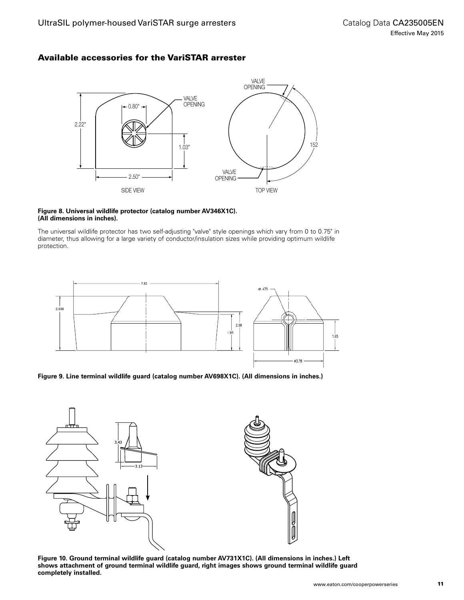## Available accessories for the VariSTAR arrester



#### **Figure 8. Universal wildlife protector (catalog number AV346X1C). (All dimensions in inches).**

The universal wildlife protector has two self-adjusting "valve" style openings which vary from 0 to 0.75" in diameter, thus allowing for a large variety of conductor/insulation sizes while providing optimum wildlife protection.



**Figure 9. Line terminal wildlife guard (catalog number AV698X1C). (All dimensions in inches.)**



**Figure 10. Ground terminal wildlife guard (catalog number AV731X1C). (All dimensions in inches.) Left shows attachment of ground terminal wildlife guard, right images shows ground terminal wildlife guard completely installed.**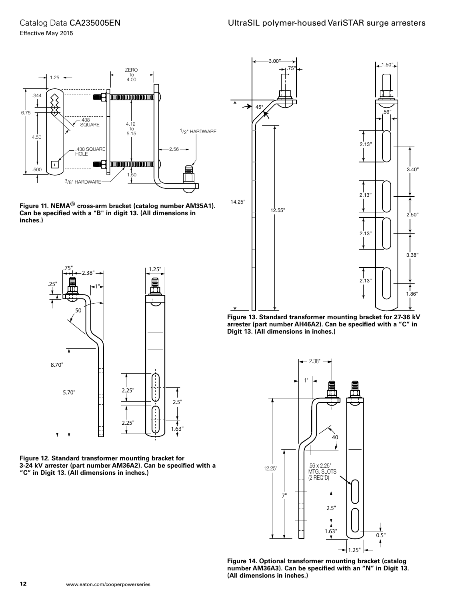Effective May 2015



**Figure 11. NEMA® cross-arm bracket (catalog number AM35A1). Can be specified with a "B" in digit 13. (All dimensions in inches.)**



**Figure 12. Standard transformer mounting bracket for 3-24 kV arrester (part number AM36A2). Can be specified with a "C" in Digit 13. (All dimensions in inches.)**



**Figure 13. Standard transformer mounting bracket for 27-36 kV arrester (part number AH46A2). Can be specified with a "C" in Digit 13. (All dimensions in inches.)**



**Figure 14. Optional transformer mounting bracket (catalog number AM36A3). Can be specified with an "N" in Digit 13. (All dimensions in inches.)**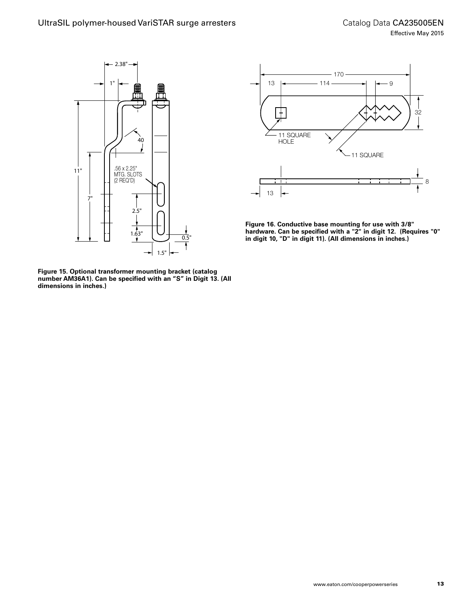

**Figure 15. Optional transformer mounting bracket (catalog number AM36A1). Can be specified with an "S" in Digit 13. (All dimensions in inches.)**



**Figure 16. Conductive base mounting for use with 3/8" hardware. Can be specified with a "2" in digit 12. (Requires "0" in digit 10, "D" in digit 11). (All dimensions in inches.)**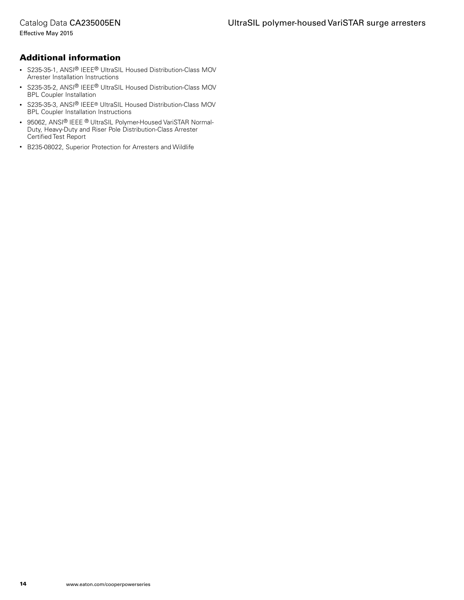## Catalog Data CA235005EN

Effective May 2015

## Additional information

- S235-35-1, ANSI® IEEE® UltraSIL Housed Distribution-Class MOV Arrester Installation Instructions
- S235-35-2, ANSI® IEEE® UltraSIL Housed Distribution-Class MOV BPL Coupler Installation
- S235-35-3, ANSI® IEEE® UltraSIL Housed Distribution-Class MOV BPL Coupler Installation Instructions
- 95062, ANSI<sup>®</sup> IEEE <sup>®</sup> UltraSIL Polymer-Housed VariSTAR Normal-Duty, Heavy-Duty and Riser Pole Distribution-Class Arrester Certified Test Report
- B235-08022, Superior Protection for Arresters and Wildlife